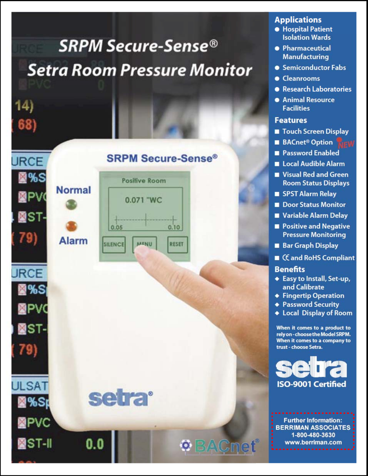# **SRPM Secure-Sense<sup>®</sup> Setra Room Pressure Monitor**

14)



# **Applications**

- **Hospital Patient Isolation Wards**
- Pharmaceutical **Manufacturing**
- Semiconductor Fabs
- Cleanrooms
- Research Laboratories
- **Animal Resource Facilities**

# **Features**

- Touch Screen Display
- **BACnet<sup>®</sup> Option**
- **Password Enabled**
- Local Audible Alarm
- Visual Red and Green **Room Status Displays**
- SPST Alarm Relay
- Door Status Monitor
- Variable Alarm Delay
- Positive and Negative **Pressure Monitoring**
- **Bar Graph Display**
- CE and RoHS Compliant

# **Benefits**

- ◆ Easy to Install, Set-up, and Calibrate
- ◆ Fingertip Operation
- ◆ Password Security
- **Local Display of Room**

When it comes to a product to rely on - choose the Model SRPM. When it comes to a company to trust - choose Setra.

**ISO-9001 Certified** 

**Further Information: BERRIMAN ASSOCIATES** 1-800-480-3630 www.berriman.com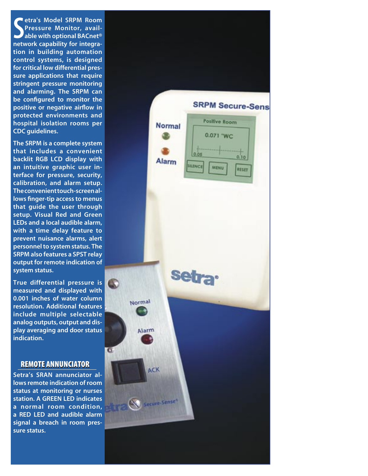S<sub>netv</sub> etra's Model SRPM Room Pressure Monitor, available with optional BACnet® network capability for integration in building automation control systems, is designed for critical low differential pressure applications that require stringent pressure monitoring and alarming. The SRPM can be configured to monitor the positive or negative airflow in protected environments and hospital isolation rooms per CDC guidelines.

The SRPM is a complete system that includes a convenient backlit RGB LCD display with an intuitive graphic user interface for pressure, security, calibration, and alarm setup. The convenient touch-screen allows finger-tip access to menus that guide the user through setup. Visual Red and Green LEDs and a local audible alarm, with a time delay feature to prevent nuisance alarms, alert personnel to system status. The SRPM also features a SPST relay output for remote indication of system status.

True differential pressure is measured and displayed with 0.001 inches of water column resolution. Additional features include multiple selectable analog outputs, output and display averaging and door status indication.

#### REMOTE ANNUNCIATOR REMOTE ANNUNCIATOR

Setra's SRAN annunciator allows remote indication of room status at monitoring or nurses station. A GREEN LED indicates a normal room condition, a RED LED and audible alarm signal a breach in room pressure status.

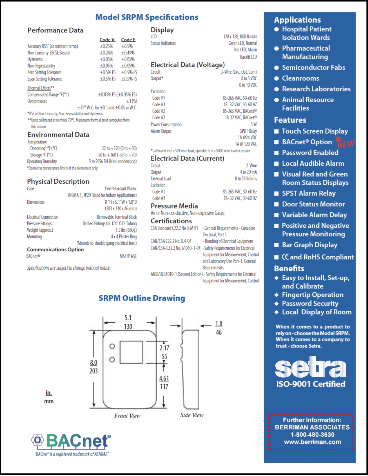# **Model SRPM Specifications**

# **Performance Data**

|                                                                                                                       | Code V                                              | <b>Code E</b> |
|-----------------------------------------------------------------------------------------------------------------------|-----------------------------------------------------|---------------|
| Accuracy RSS' (at constant temp)                                                                                      | $+0.25%$                                            | ±0.5%         |
| Non-Linearity (BFSL Based)                                                                                            | $+0.24%$                                            | $+0.49%$      |
| <b>Hysteresis</b>                                                                                                     | $\pm 0.05%$                                         | ±0.05%        |
| Non-Repeatability                                                                                                     | $+0.05%$                                            | $+0.05%$      |
| Zero Setting Tolerance                                                                                                | $+0.5%$ FS                                          | $+0.5%$ FS    |
| Span Setting Tolerance                                                                                                | $±0.5%$ FS                                          | $+0.5%$ FS    |
| <b>Thermal Effects**</b>                                                                                              |                                                     |               |
| Compensated Range °F(°C)                                                                                              | $\pm 0.03\%$ FS ( $\pm 0.05\%$ FS)                  |               |
| Overpressure                                                                                                          |                                                     | $±1$ PSI      |
|                                                                                                                       | $\pm$ 15" W.C. for $\pm$ 0.1 and $\pm$ 0.05 in W.C. |               |
| <b>SUPPLIES IN THE REPORT OF STATES IN THE REPORT OF A STATE OF A STATE OF A STATE OF A STATE OF A STATE OF A STA</b> |                                                     |               |

RSS of Non-Linearity, Non-Repeatability and Hysteresis.

\*\* Units calibrated at nominal 70°F. Maximum thermal error computed from this datum.

#### **Environmental Data**

| Operating ${}^{\circ}$ F ( ${}^{\circ}$ C)            | $32$ to $+120$ (0 to $+50$       |
|-------------------------------------------------------|----------------------------------|
| Storage °F (°C)                                       | $-20$ to $+160$ ( $-30$ to $+70$ |
| <b>Operating Humidity</b>                             | 5 to 95% RH (Non-condensing      |
| *Onerating temperature limits of the electronics only |                                  |

# **Physical Description**

| Case                         | <b>Fire Retardant Plastic</b>                |
|------------------------------|----------------------------------------------|
|                              | (NEMA 1, IP20 Rated for Indoor Applications) |
| <b>Dimensions</b>            | 8 "H x 5.1"W x 1.8"D                         |
|                              | (203 x 130 x 46 mm)                          |
| <b>Electrical Connection</b> | Removable Terminal Block                     |
| <b>Pressure Fittings</b>     | Barbed Fittings for 1/4" O.D. Tubing         |
| Weight (approx.)             | $1.5$ lbs (680g)                             |
| Mounting                     | 4 x 4 Plaster Ring                           |
|                              | (Mounts to double gang electrical box.)      |
| <b>Communications Option</b> |                                              |
| <b>BACnet®</b>               | <b>MS/TP ASC</b>                             |

Specifications are subject to change without notice.

# **Display**

**LCD Status Indicators**  128 x 128. RGB Backlit Green LED, Normal Red LED, Alarm **Backlit LCD** 

1A @ 120 VAC

### **Electrical Data (Voltage)**

| Circuit                  | 3-Wire (Exc., Out, Com)         |
|--------------------------|---------------------------------|
| Output <sup>*</sup>      | 0 to 5 VDC                      |
|                          | 0 to 10 VDC                     |
| Excitation               |                                 |
| Code V1                  | 85-265 VAC, 50-60 Hz            |
| Code A1                  | 18-32 VAC, 50-60 HZ             |
| Code V <sub>2</sub>      | 85-265 VAC, BACnet <sup>®</sup> |
| Code A2                  | 18-32 VAC, BACnet <sup>®</sup>  |
| <b>Power Consumption</b> | 5W                              |
| <b>Alarm Output</b>      | <b>SPDT Relay</b>               |
|                          | 1A @24 VDC                      |

\*Calibrated into a 50K ohm load, operable into a 5000 ohm load or greater.

#### **Electrical Data (Current)**

| Circuit              | 2-Wire               |
|----------------------|----------------------|
| Output               | 4 to 20 mA           |
| <b>External Load</b> | 0 to 510 ohms        |
| Excitation           |                      |
| Code V1              | 85-265 VAC, 50-60 Hz |
| Code A1              | 18-32 VAC, 50-60 HZ  |
|                      |                      |

# **Pressure Media**

Air or Non-conductive. Non-explosive Gases.

#### **Certifications**

| CSA Standard C22.2 No 0-M 91 | - General Requirements - Canadian                                     |
|------------------------------|-----------------------------------------------------------------------|
|                              | Electrical, Part 1                                                    |
| CAN/CSA C22.2 No. 0.4-04     | - Bonding of Electrical Equipment                                     |
|                              | CAN/CSA-C22.2 No. 61010-1-04 -Safety Requirements for Electrical      |
|                              | Equipment for Measurement, Control                                    |
|                              | and Laboratory Use Part-1: General                                    |
|                              | Requirements                                                          |
|                              | ANSI/III 61010. 1 (Second Edition) Safety Requirements for Electrical |

Equipment for Measurement, Control



# **SRPM Outline Drawing**



# **Applications**

- **Hospital Patient Isolation Wards**
- Pharmaceutical **Manufacturing**
- Semiconductor Fabs
- Cleanrooms
- **Research Laboratories**
- **Animal Resource Facilities**

#### **Features**

- Touch Screen Display
- **BACnet<sup>®</sup> Option**
- **Password Enabled**
- Local Audible Alarm
- Visual Red and Green **Room Status Displays**
- SPST Alarm Relay
- Door Status Monitor
- Variable Alarm Delay
- Positive and Negative **Pressure Monitoring**
- **Bar Graph Display**
- CE and RoHS Compliant

# **Benefits**

- ◆ Easy to Install, Set-up, and Calibrate
- ← Fingertip Operation
- ◆ Password Security
- ◆ Local Display of Room

When it comes to a product to rely on - choose the Model SRPM. When it comes to a company to trust - choose Setra.



**Further Information: BERRIMAN ASSOCIATES** 1-800-480-3630 www.berriman.com